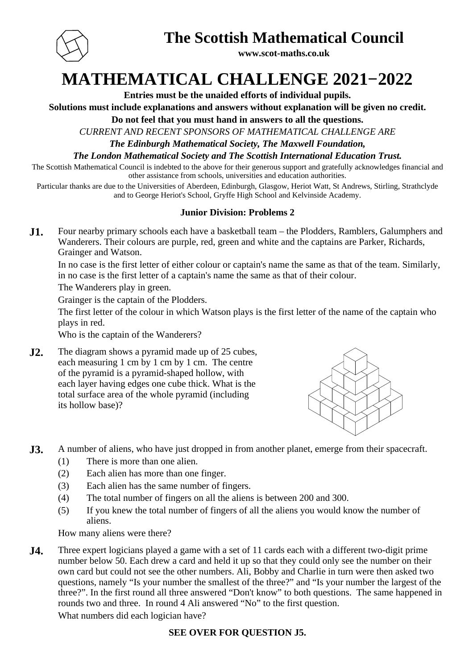

### **The Scottish Mathematical Council**

**www.scot-maths.co.uk**

# **MATHEMATICAL CHALLENGE 2021−2022**

**Entries must be the unaided efforts of individual pupils.**

**Solutions must include explanations and answers without explanation will be given no credit.**

**Do not feel that you must hand in answers to all the questions.**

*CURRENT AND RECENT SPONSORS OF MATHEMATICAL CHALLENGE ARE*

*The Edinburgh Mathematical Society, The Maxwell Foundation,*

*The London Mathematical Society and The Scottish International Education Trust.*

The Scottish Mathematical Council is indebted to the above for their generous support and gratefully acknowledges financial and other assistance from schools, universities and education authorities.

Particular thanks are due to the Universities of Aberdeen, Edinburgh, Glasgow, Heriot Watt, St Andrews, Stirling, Strathclyde and to George Heriot's School, Gryffe High School and Kelvinside Academy.

#### **Junior Division: Problems 2**

**J1.** Four nearby primary schools each have a basketball team – the Plodders, Ramblers, Galumphers and Wanderers. Their colours are purple, red, green and white and the captains are Parker, Richards, Grainger and Watson.

In no case is the first letter of either colour or captain's name the same as that of the team. Similarly, in no case is the first letter of a captain's name the same as that of their colour.

The Wanderers play in green.

Grainger is the captain of the Plodders.

The first letter of the colour in which Watson plays is the first letter of the name of the captain who plays in red.

Who is the captain of the Wanderers?

**J2.** The diagram shows a pyramid made up of 25 cubes, each measuring 1 cm by 1 cm by 1 cm. The centre of the pyramid is a pyramid-shaped hollow, with each layer having edges one cube thick. What is the total surface area of the whole pyramid (including its hollow base)?



- **J3.** A number of aliens, who have just dropped in from another planet, emerge from their spacecraft.
	- (1) There is more than one alien.
	- (2) Each alien has more than one finger.
	- (3) Each alien has the same number of fingers.
	- (4) The total number of fingers on all the aliens is between 200 and 300.
	- (5) If you knew the total number of fingers of all the aliens you would know the number of aliens.

How many aliens were there?

**J4.** Three expert logicians played a game with a set of 11 cards each with a different two-digit prime number below 50. Each drew a card and held it up so that they could only see the number on their own card but could not see the other numbers. Ali, Bobby and Charlie in turn were then asked two questions, namely "Is your number the smallest of the three?" and "Is your number the largest of the three?". In the first round all three answered "Don't know" to both questions. The same happened in rounds two and three. In round 4 Ali answered "No" to the first question.

What numbers did each logician have?

### **SEE OVER FOR QUESTION J5.**